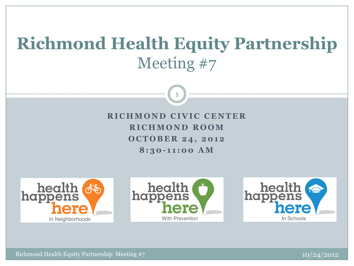# **Richmond Health Equity Partnership**  Meeting #7

1

**RICHMOND CIVIC CENTER R I C H M O N D ROOM O C T O B E R 2 4 , 2 0 1 2 8 : 3 0 - 1 1 : 0 0 A M**







Richmond Health Equity Partnership Meeting #7 10/24/2012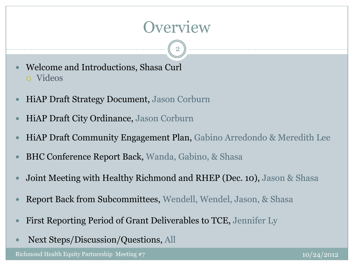## **Overview**

2

- Welcome and Introductions, Shasa Curl Videos
- HiAP Draft Strategy Document, Jason Corburn
- HiAP Draft City Ordinance, Jason Corburn
- HiAP Draft Community Engagement Plan, Gabino Arredondo & Meredith Lee
- BHC Conference Report Back, Wanda, Gabino, & Shasa
- Joint Meeting with Healthy Richmond and RHEP (Dec. 10), Jason & Shasa
- Report Back from Subcommittees, Wendell, Wendel, Jason, & Shasa
- First Reporting Period of Grant Deliverables to TCE, Jennifer Ly
- Next Steps/Discussion/Questions, All

Richmond Health Equity Partnership Meeting #7 10/24/2012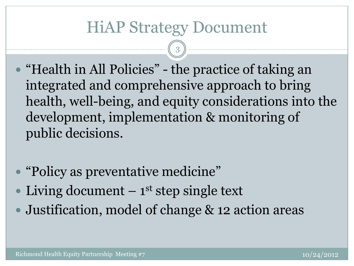## HiAP Strategy Document

3

- "Health in All Policies" the practice of taking an integrated and comprehensive approach to bring health, well-being, and equity considerations into the development, implementation & monitoring of public decisions.
- "Policy as preventative medicine"
- Living document  $-1$ <sup>st</sup> step single text
- Justification, model of change & 12 action areas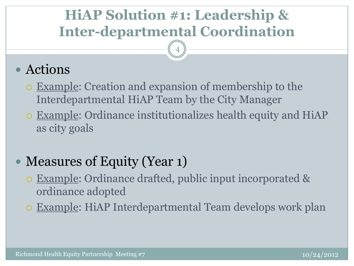## **HiAP Solution #1: Leadership & Inter-departmental Coordination**

4

### Actions

- Example: Creation and expansion of membership to the Interdepartmental HiAP Team by the City Manager
- Example: Ordinance institutionalizes health equity and HiAP as city goals

## • Measures of Equity (Year 1)

- Example: Ordinance drafted, public input incorporated & ordinance adopted
- Example: HiAP Interdepartmental Team develops work plan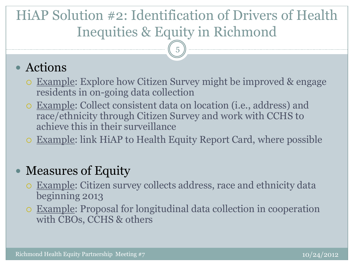## HiAP Solution #2: Identification of Drivers of Health Inequities & Equity in Richmond

5

#### Actions

- Example: Explore how Citizen Survey might be improved & engage residents in on-going data collection
- Example: Collect consistent data on location (i.e., address) and race/ethnicity through Citizen Survey and work with CCHS to achieve this in their surveillance
- Example: link HiAP to Health Equity Report Card, where possible

- Example: Citizen survey collects address, race and ethnicity data beginning 2013
- Example: Proposal for longitudinal data collection in cooperation with CBOs, CCHS & others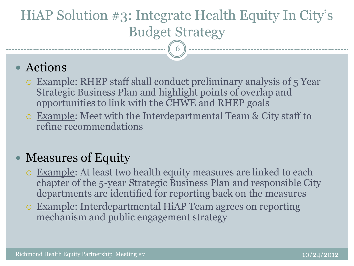# HiAP Solution #3: Integrate Health Equity In City's Budget Strategy

6

#### Actions

- Example: RHEP staff shall conduct preliminary analysis of 5 Year Strategic Business Plan and highlight points of overlap and opportunities to link with the CHWE and RHEP goals
- Example: Meet with the Interdepartmental Team & City staff to refine recommendations

- Example: At least two health equity measures are linked to each chapter of the 5-year Strategic Business Plan and responsible City departments are identified for reporting back on the measures
- Example: Interdepartmental HiAP Team agrees on reporting mechanism and public engagement strategy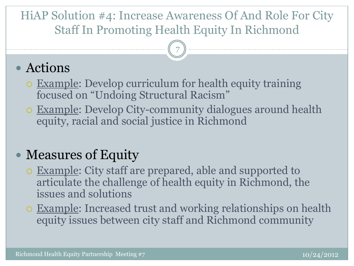#### HiAP Solution #4: Increase Awareness Of And Role For City Staff In Promoting Health Equity In Richmond

7

### Actions

- Example: Develop curriculum for health equity training focused on "Undoing Structural Racism"
- Example: Develop City-community dialogues around health equity, racial and social justice in Richmond

- Example: City staff are prepared, able and supported to articulate the challenge of health equity in Richmond, the issues and solutions
- Example: Increased trust and working relationships on health equity issues between city staff and Richmond community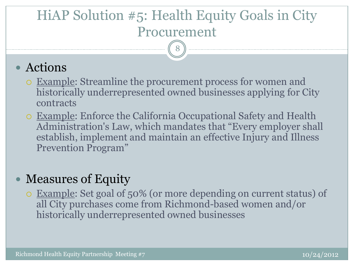## HiAP Solution #5: Health Equity Goals in City Procurement

8

#### Actions

- Example: Streamline the procurement process for women and historically underrepresented owned businesses applying for City contracts
- Example: Enforce the California Occupational Safety and Health Administration's Law, which mandates that "Every employer shall establish, implement and maintain an effective Injury and Illness Prevention Program"

#### Measures of Equity

 Example: Set goal of 50% (or more depending on current status) of all City purchases come from Richmond-based women and/or historically underrepresented owned businesses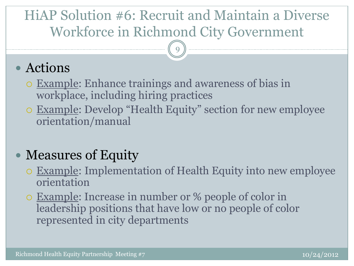## HiAP Solution #6: Recruit and Maintain a Diverse Workforce in Richmond City Government

9

#### Actions

- Example: Enhance trainings and awareness of bias in workplace, including hiring practices
- Example: Develop "Health Equity" section for new employee orientation/manual

- Example: Implementation of Health Equity into new employee orientation
- Example: Increase in number or % people of color in leadership positions that have low or no people of color represented in city departments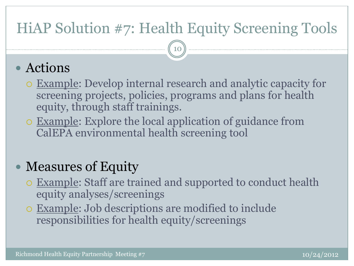## HiAP Solution #7: Health Equity Screening Tools

10

#### Actions

- Example: Develop internal research and analytic capacity for screening projects, policies, programs and plans for health equity, through staff trainings.
- Example: Explore the local application of guidance from CalEPA environmental health screening tool

- Example: Staff are trained and supported to conduct health equity analyses/screenings
- Example: Job descriptions are modified to include responsibilities for health equity/screenings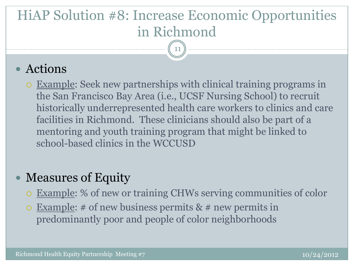# HiAP Solution #8: Increase Economic Opportunities in Richmond

11

#### Actions

 Example: Seek new partnerships with clinical training programs in the San Francisco Bay Area (i.e., UCSF Nursing School) to recruit historically underrepresented health care workers to clinics and care facilities in Richmond. These clinicians should also be part of a mentoring and youth training program that might be linked to school-based clinics in the WCCUSD

- Example: % of new or training CHWs serving communities of color
- $\circ$  Example: # of new business permits & # new permits in predominantly poor and people of color neighborhoods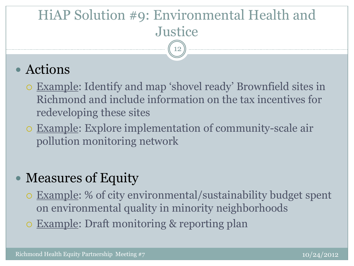#### HiAP Solution #9: Environmental Health and **Justice** 12

## Actions

- Example: Identify and map 'shovel ready' Brownfield sites in Richmond and include information on the tax incentives for redeveloping these sites
- Example: Explore implementation of community-scale air pollution monitoring network

- Example: % of city environmental/sustainability budget spent on environmental quality in minority neighborhoods
- Example: Draft monitoring & reporting plan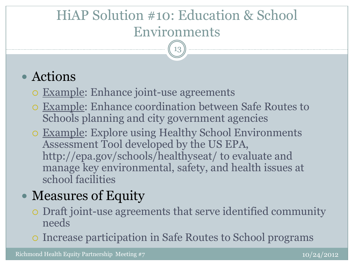## HiAP Solution #10: Education & School Environments

13

### Actions

- Example: Enhance joint-use agreements
- Example: Enhance coordination between Safe Routes to Schools planning and city government agencies
- Example: Explore using Healthy School Environments Assessment Tool developed by the US EPA, http://epa.gov/schools/healthyseat/ to evaluate and manage key environmental, safety, and health issues at school facilities

- Draft joint-use agreements that serve identified community needs
- Increase participation in Safe Routes to School programs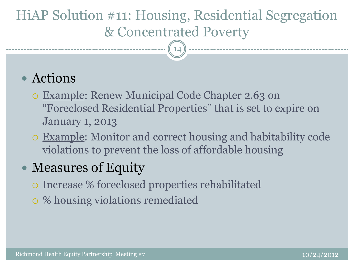## HiAP Solution #11: Housing, Residential Segregation & Concentrated Poverty

14

#### Actions

- Example: Renew Municipal Code Chapter 2.63 on "Foreclosed Residential Properties" that is set to expire on January 1, 2013
- Example: Monitor and correct housing and habitability code violations to prevent the loss of affordable housing

- Increase % foreclosed properties rehabilitated
- % housing violations remediated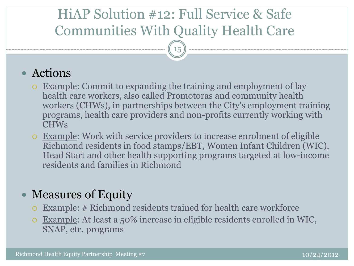## HiAP Solution #12: Full Service & Safe Communities With Quality Health Care

15

#### Actions

- Example: Commit to expanding the training and employment of lay health care workers, also called Promotoras and community health workers (CHWs), in partnerships between the City's employment training programs, health care providers and non-profits currently working with CHWs
- Example: Work with service providers to increase enrolment of eligible Richmond residents in food stamps/EBT, Women Infant Children (WIC), Head Start and other health supporting programs targeted at low-income residents and families in Richmond

- Example: # Richmond residents trained for health care workforce
- Example: At least a 50% increase in eligible residents enrolled in WIC, SNAP, etc. programs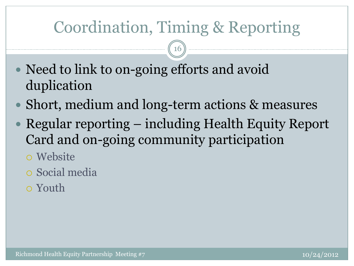# Coordination, Timing & Reporting

16

- Need to link to on-going efforts and avoid duplication
- Short, medium and long-term actions & measures
- Regular reporting including Health Equity Report Card and on-going community participation
	- Website
	- Social media
	- Youth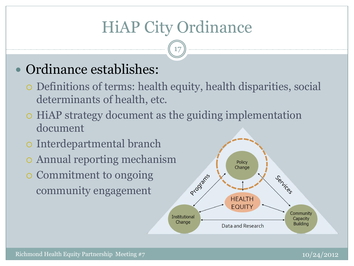# HiAP City Ordinance

17

### Ordinance establishes:

- Definitions of terms: health equity, health disparities, social determinants of health, etc.
- HiAP strategy document as the guiding implementation document
- Interdepartmental branch
- Annual reporting mechanism
- Commitment to ongoing community engagement

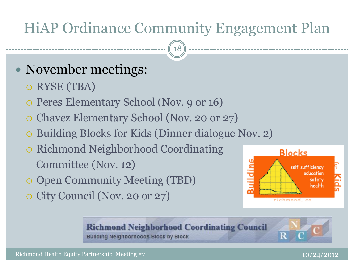## HiAP Ordinance Community Engagement Plan

18

## • November meetings:

- RYSE (TBA)
- Peres Elementary School (Nov. 9 or 16)
- Chavez Elementary School (Nov. 20 or 27)
- Building Blocks for Kids (Dinner dialogue Nov. 2)
- o Richmond Neighborhood Coordinating Committee (Nov. 12)
- Open Community Meeting (TBD)
- City Council (Nov. 20 or 27)



**Richmond Neighborhood Coordinating Council Building Neighborhoods Block by Block**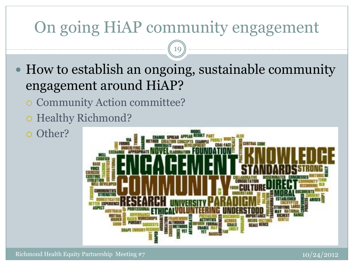# On going HiAP community engagement

19

- How to establish an ongoing, sustainable community engagement around HiAP?
	- Community Action committee?
	- o Healthy Richmond?
	- o Other?

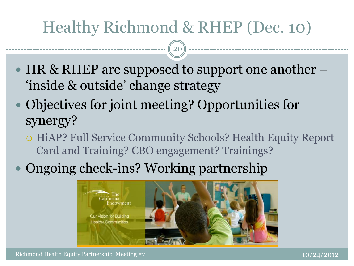# Healthy Richmond & RHEP (Dec. 10)

20

- $\bullet$  HR & RHEP are supposed to support one another  $-$ 'inside & outside' change strategy
- Objectives for joint meeting? Opportunities for synergy?
	- o HiAP? Full Service Community Schools? Health Equity Report Card and Training? CBO engagement? Trainings?
- Ongoing check-ins? Working partnership



Richmond Health Equity Partnership Meeting #7 10/24/2012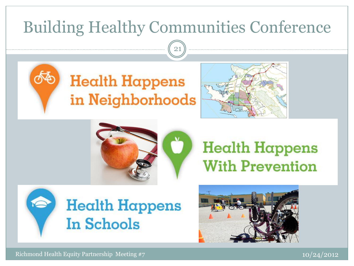# Building Healthy Communities Conference

21







# **Health Happens With Prevention**





Richmond Health Equity Partnership Meeting #7 10/24/2012